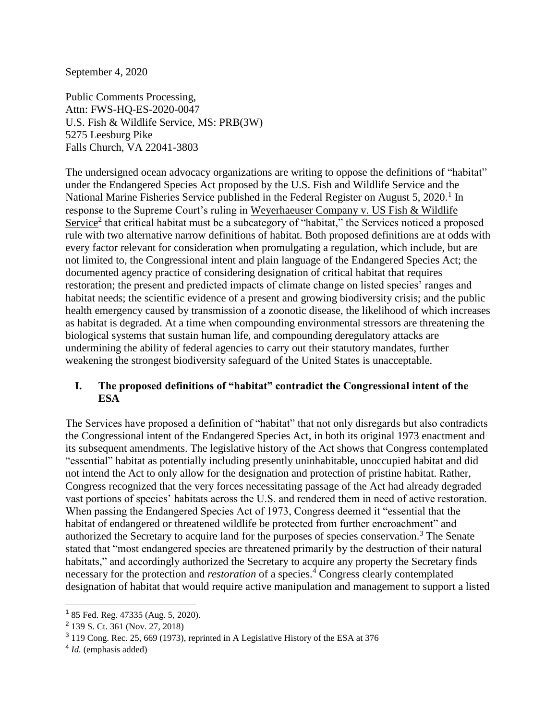September 4, 2020

Public Comments Processing, Attn: FWS-HQ-ES-2020-0047 U.S. Fish & Wildlife Service, MS: PRB(3W) 5275 Leesburg Pike Falls Church, VA 22041-3803

The undersigned ocean advocacy organizations are writing to oppose the definitions of "habitat" under the Endangered Species Act proposed by the U.S. Fish and Wildlife Service and the National Marine Fisheries Service published in the Federal Register on August 5, 2020.<sup>1</sup> In response to the Supreme Court's ruling in Weyerhaeuser Company v. US Fish & Wildlife Service<sup>2</sup> that critical habitat must be a subcategory of "habitat," the Services noticed a proposed rule with two alternative narrow definitions of habitat. Both proposed definitions are at odds with every factor relevant for consideration when promulgating a regulation, which include, but are not limited to, the Congressional intent and plain language of the Endangered Species Act; the documented agency practice of considering designation of critical habitat that requires restoration; the present and predicted impacts of climate change on listed species' ranges and habitat needs; the scientific evidence of a present and growing biodiversity crisis; and the public health emergency caused by transmission of a zoonotic disease, the likelihood of which increases as habitat is degraded. At a time when compounding environmental stressors are threatening the biological systems that sustain human life, and compounding deregulatory attacks are undermining the ability of federal agencies to carry out their statutory mandates, further weakening the strongest biodiversity safeguard of the United States is unacceptable.

## **I. The proposed definitions of "habitat" contradict the Congressional intent of the ESA**

The Services have proposed a definition of "habitat" that not only disregards but also contradicts the Congressional intent of the Endangered Species Act, in both its original 1973 enactment and its subsequent amendments. The legislative history of the Act shows that Congress contemplated "essential" habitat as potentially including presently uninhabitable, unoccupied habitat and did not intend the Act to only allow for the designation and protection of pristine habitat. Rather, Congress recognized that the very forces necessitating passage of the Act had already degraded vast portions of species' habitats across the U.S. and rendered them in need of active restoration. When passing the Endangered Species Act of 1973, Congress deemed it "essential that the habitat of endangered or threatened wildlife be protected from further encroachment" and authorized the Secretary to acquire land for the purposes of species conservation.<sup>3</sup> The Senate stated that "most endangered species are threatened primarily by the destruction of their natural habitats," and accordingly authorized the Secretary to acquire any property the Secretary finds necessary for the protection and *restoration* of a species.<sup>4</sup> Congress clearly contemplated designation of habitat that would require active manipulation and management to support a listed

<sup>&</sup>lt;sup>1</sup> 85 Fed. Reg. 47335 (Aug. 5, 2020).

<sup>&</sup>lt;sup>2</sup> 139 S. Ct. 361 (Nov. 27, 2018)

<sup>&</sup>lt;sup>3</sup> 119 Cong. Rec. 25, 669 (1973), reprinted in A Legislative History of the ESA at 376

<sup>4</sup> *Id.* (emphasis added)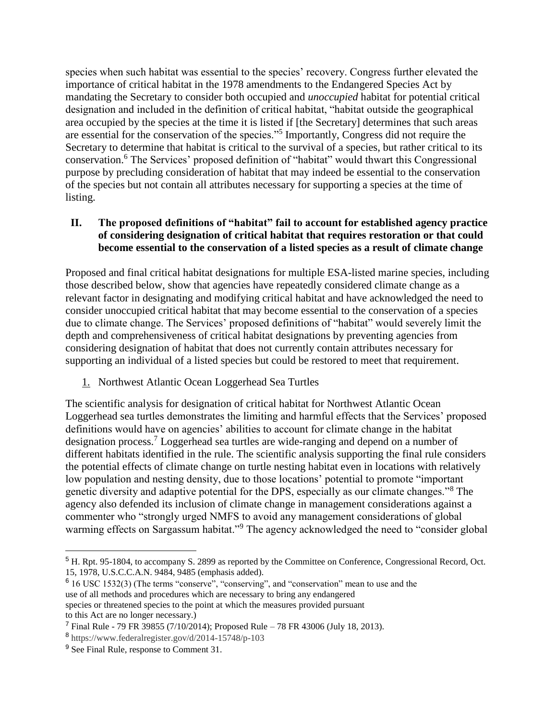species when such habitat was essential to the species' recovery. Congress further elevated the importance of critical habitat in the 1978 amendments to the Endangered Species Act by mandating the Secretary to consider both occupied and *unoccupied* habitat for potential critical designation and included in the definition of critical habitat, "habitat outside the geographical area occupied by the species at the time it is listed if [the Secretary] determines that such areas are essential for the conservation of the species."<sup>5</sup> Importantly, Congress did not require the Secretary to determine that habitat is critical to the survival of a species, but rather critical to its conservation.<sup>6</sup> The Services' proposed definition of "habitat" would thwart this Congressional purpose by precluding consideration of habitat that may indeed be essential to the conservation of the species but not contain all attributes necessary for supporting a species at the time of listing.

# **II. The proposed definitions of "habitat" fail to account for established agency practice of considering designation of critical habitat that requires restoration or that could become essential to the conservation of a listed species as a result of climate change**

Proposed and final critical habitat designations for multiple ESA-listed marine species, including those described below, show that agencies have repeatedly considered climate change as a relevant factor in designating and modifying critical habitat and have acknowledged the need to consider unoccupied critical habitat that may become essential to the conservation of a species due to climate change. The Services' proposed definitions of "habitat" would severely limit the depth and comprehensiveness of critical habitat designations by preventing agencies from considering designation of habitat that does not currently contain attributes necessary for supporting an individual of a listed species but could be restored to meet that requirement.

1. Northwest Atlantic Ocean Loggerhead Sea Turtles

The scientific analysis for designation of critical habitat for Northwest Atlantic Ocean Loggerhead sea turtles demonstrates the limiting and harmful effects that the Services' proposed definitions would have on agencies' abilities to account for climate change in the habitat designation process.<sup>7</sup> Loggerhead sea turtles are wide-ranging and depend on a number of different habitats identified in the rule. The scientific analysis supporting the final rule considers the potential effects of climate change on turtle nesting habitat even in locations with relatively low population and nesting density, due to those locations' potential to promote "important genetic diversity and adaptive potential for the DPS, especially as our climate changes."<sup>8</sup> The agency also defended its inclusion of climate change in management considerations against a commenter who "strongly urged NMFS to avoid any management considerations of global warming effects on Sargassum habitat."<sup>9</sup> The agency acknowledged the need to "consider global

 $\overline{a}$ 

<sup>5</sup> H. Rpt. 95-1804, to accompany S. 2899 as reported by the Committee on Conference, Congressional Record, Oct. 15, 1978, U.S.C.C.A.N. 9484, 9485 (emphasis added).

<sup>&</sup>lt;sup>6</sup> 16 USC 1532(3) (The terms "conserve", "conserving", and "conservation" mean to use and the use of all methods and procedures which are necessary to bring any endangered species or threatened species to the point at which the measures provided pursuant to this Act are no longer necessary.)

<sup>7</sup> Final Rule - 79 FR 39855 (7/10/2014); Proposed Rule – 78 FR 43006 (July 18, 2013).

<sup>8</sup> https://www.federalregister.gov/d/2014-15748/p-103

<sup>9</sup> See Final Rule, response to Comment 31.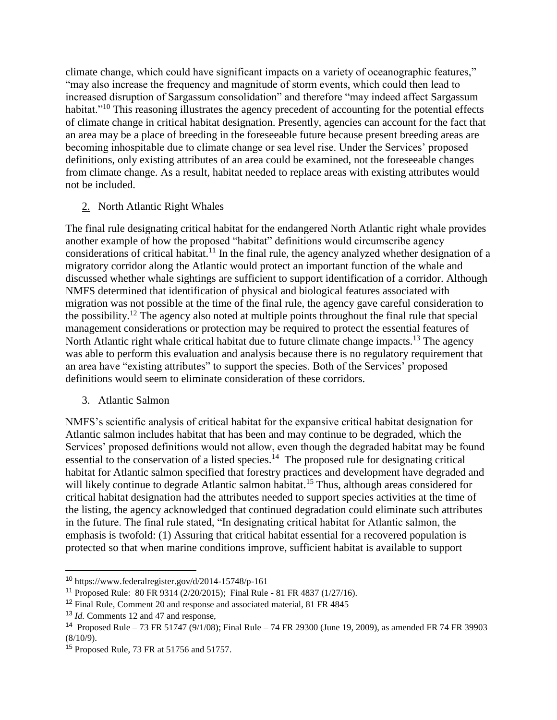climate change, which could have significant impacts on a variety of oceanographic features," "may also increase the frequency and magnitude of storm events, which could then lead to increased disruption of Sargassum consolidation" and therefore "may indeed affect Sargassum habitat."<sup>10</sup> This reasoning illustrates the agency precedent of accounting for the potential effects of climate change in critical habitat designation. Presently, agencies can account for the fact that an area may be a place of breeding in the foreseeable future because present breeding areas are becoming inhospitable due to climate change or sea level rise. Under the Services' proposed definitions, only existing attributes of an area could be examined, not the foreseeable changes from climate change. As a result, habitat needed to replace areas with existing attributes would not be included.

## 2. North Atlantic Right Whales

The final rule designating critical habitat for the endangered North Atlantic right whale provides another example of how the proposed "habitat" definitions would circumscribe agency considerations of critical habitat.<sup>11</sup> In the final rule, the agency analyzed whether designation of a migratory corridor along the Atlantic would protect an important function of the whale and discussed whether whale sightings are sufficient to support identification of a corridor. Although NMFS determined that identification of physical and biological features associated with migration was not possible at the time of the final rule, the agency gave careful consideration to the possibility.<sup>12</sup> The agency also noted at multiple points throughout the final rule that special management considerations or protection may be required to protect the essential features of North Atlantic right whale critical habitat due to future climate change impacts.<sup>13</sup> The agency was able to perform this evaluation and analysis because there is no regulatory requirement that an area have "existing attributes" to support the species. Both of the Services' proposed definitions would seem to eliminate consideration of these corridors.

3. Atlantic Salmon

NMFS's scientific analysis of critical habitat for the expansive critical habitat designation for Atlantic salmon includes habitat that has been and may continue to be degraded, which the Services' proposed definitions would not allow, even though the degraded habitat may be found essential to the conservation of a listed species.<sup>14</sup> The proposed rule for designating critical habitat for Atlantic salmon specified that forestry practices and development have degraded and will likely continue to degrade Atlantic salmon habitat.<sup>15</sup> Thus, although areas considered for critical habitat designation had the attributes needed to support species activities at the time of the listing, the agency acknowledged that continued degradation could eliminate such attributes in the future. The final rule stated, "In designating critical habitat for Atlantic salmon, the emphasis is twofold: (1) Assuring that critical habitat essential for a recovered population is protected so that when marine conditions improve, sufficient habitat is available to support

<sup>10</sup> https://www.federalregister.gov/d/2014-15748/p-161

<sup>11</sup> Proposed Rule: 80 FR 9314 (2/20/2015); Final Rule - 81 FR 4837 (1/27/16).

<sup>&</sup>lt;sup>12</sup> Final Rule, Comment 20 and response and associated material, 81 FR 4845

<sup>13</sup> *Id.* Comments 12 and 47 and response,

<sup>14</sup> Proposed Rule – 73 FR 51747 (9/1/08); Final Rule – 74 FR 29300 (June 19, 2009), as amended FR 74 FR 39903  $(8/10/9)$ .

<sup>15</sup> Proposed Rule, 73 FR at 51756 and 51757.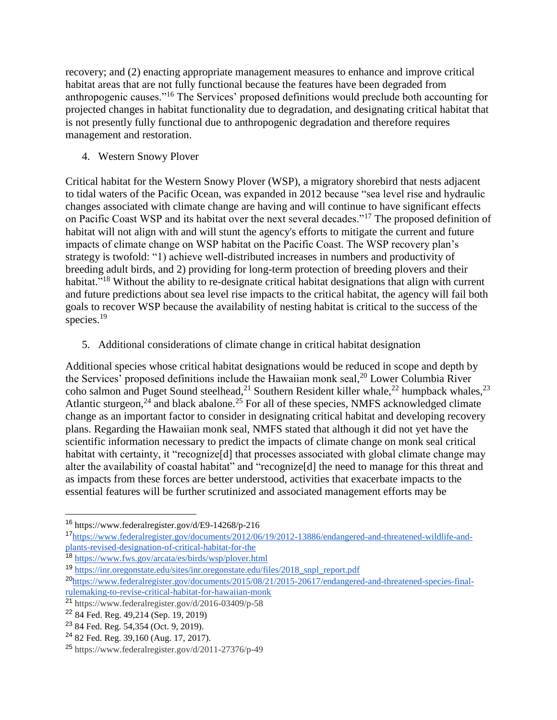recovery; and (2) enacting appropriate management measures to enhance and improve critical habitat areas that are not fully functional because the features have been degraded from anthropogenic causes."<sup>16</sup> The Services' proposed definitions would preclude both accounting for projected changes in habitat functionality due to degradation, and designating critical habitat that is not presently fully functional due to anthropogenic degradation and therefore requires management and restoration.

4. Western Snowy Plover

Critical habitat for the Western Snowy Plover (WSP), a migratory shorebird that nests adjacent to tidal waters of the Pacific Ocean, was expanded in 2012 because "sea level rise and hydraulic changes associated with climate change are having and will continue to have significant effects on Pacific Coast WSP and its habitat over the next several decades."<sup>17</sup> The proposed definition of habitat will not align with and will stunt the agency's efforts to mitigate the current and future impacts of climate change on WSP habitat on the Pacific Coast. The WSP recovery plan's strategy is twofold: "1) achieve well-distributed increases in numbers and productivity of breeding adult birds, and 2) providing for long-term protection of breeding plovers and their habitat."<sup>18</sup> Without the ability to re-designate critical habitat designations that align with current and future predictions about sea level rise impacts to the critical habitat, the agency will fail both goals to recover WSP because the availability of nesting habitat is critical to the success of the species. $19$ 

5. Additional considerations of climate change in critical habitat designation

Additional species whose critical habitat designations would be reduced in scope and depth by the Services' proposed definitions include the Hawaiian monk seal,  $^{20}$  Lower Columbia River coho salmon and Puget Sound steelhead,<sup>21</sup> Southern Resident killer whale,<sup>22</sup> humpback whales,<sup>23</sup> Atlantic sturgeon,<sup>24</sup> and black abalone.<sup>25</sup> For all of these species, NMFS acknowledged climate change as an important factor to consider in designating critical habitat and developing recovery plans. Regarding the Hawaiian monk seal, NMFS stated that although it did not yet have the scientific information necessary to predict the impacts of climate change on monk seal critical habitat with certainty, it "recognize<sup>[d]</sup> that processes associated with global climate change may alter the availability of coastal habitat" and "recognize[d] the need to manage for this threat and as impacts from these forces are better understood, activities that exacerbate impacts to the essential features will be further scrutinized and associated management efforts may be

<sup>16</sup> https://www.federalregister.gov/d/E9-14268/p-216

<sup>17</sup>[https://www.federalregister.gov/documents/2012/06/19/2012-13886/endangered-and-threatened-wildlife-and](https://www.federalregister.gov/documents/2012/06/19/2012-13886/endangered-and-threatened-wildlife-and-plants-revised-designation-of-critical-habitat-for-the)[plants-revised-designation-of-critical-habitat-for-the](https://www.federalregister.gov/documents/2012/06/19/2012-13886/endangered-and-threatened-wildlife-and-plants-revised-designation-of-critical-habitat-for-the)

<sup>18</sup> <https://www.fws.gov/arcata/es/birds/wsp/plover.html>

<sup>19</sup> [https://inr.oregonstate.edu/sites/inr.oregonstate.edu/files/2018\\_snpl\\_report.pdf](https://inr.oregonstate.edu/sites/inr.oregonstate.edu/files/2018_snpl_report.pdf)

<sup>20</sup>[https://www.federalregister.gov/documents/2015/08/21/2015-20617/endangered-and-threatened-species-final](https://www.federalregister.gov/documents/2015/08/21/2015-20617/endangered-and-threatened-species-final-rulemaking-to-revise-critical-habitat-for-hawaiian-monk)[rulemaking-to-revise-critical-habitat-for-hawaiian-monk](https://www.federalregister.gov/documents/2015/08/21/2015-20617/endangered-and-threatened-species-final-rulemaking-to-revise-critical-habitat-for-hawaiian-monk)

<sup>21</sup> https://www.federalregister.gov/d/2016-03409/p-58

<sup>22</sup> 84 Fed. Reg. 49,214 (Sep. 19, 2019)

<sup>23</sup> 84 Fed. Reg. 54,354 (Oct. 9, 2019).

<sup>24</sup> 82 Fed. Reg. 39,160 (Aug. 17, 2017).

<sup>25</sup> https://www.federalregister.gov/d/2011-27376/p-49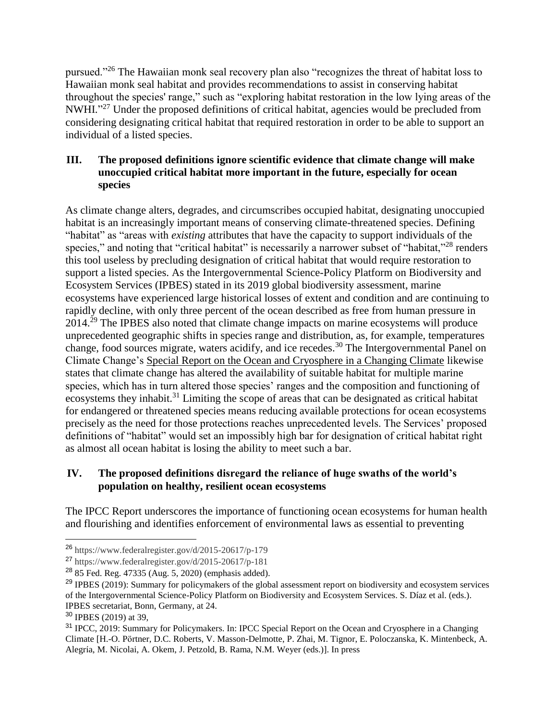pursued."<sup>26</sup> The Hawaiian monk seal recovery plan also "recognizes the threat of habitat loss to Hawaiian monk seal habitat and provides recommendations to assist in conserving habitat throughout the species' range," such as "exploring habitat restoration in the low lying areas of the NWHI."<sup>27</sup> Under the proposed definitions of critical habitat, agencies would be precluded from considering designating critical habitat that required restoration in order to be able to support an individual of a listed species.

# **III. The proposed definitions ignore scientific evidence that climate change will make unoccupied critical habitat more important in the future, especially for ocean species**

As climate change alters, degrades, and circumscribes occupied habitat, designating unoccupied habitat is an increasingly important means of conserving climate-threatened species. Defining "habitat" as "areas with *existing* attributes that have the capacity to support individuals of the species," and noting that "critical habitat" is necessarily a narrower subset of "habitat,"<sup>28</sup> renders this tool useless by precluding designation of critical habitat that would require restoration to support a listed species. As the Intergovernmental Science-Policy Platform on Biodiversity and Ecosystem Services (IPBES) stated in its 2019 global biodiversity assessment, marine ecosystems have experienced large historical losses of extent and condition and are continuing to rapidly decline, with only three percent of the ocean described as free from human pressure in 2014.<sup>29</sup> The IPBES also noted that climate change impacts on marine ecosystems will produce unprecedented geographic shifts in species range and distribution, as, for example, temperatures change, food sources migrate, waters acidify, and ice recedes.<sup>30</sup> The Intergovernmental Panel on Climate Change's Special Report on the Ocean and Cryosphere in a Changing Climate likewise states that climate change has altered the availability of suitable habitat for multiple marine species, which has in turn altered those species' ranges and the composition and functioning of ecosystems they inhabit.<sup>31</sup> Limiting the scope of areas that can be designated as critical habitat for endangered or threatened species means reducing available protections for ocean ecosystems precisely as the need for those protections reaches unprecedented levels. The Services' proposed definitions of "habitat" would set an impossibly high bar for designation of critical habitat right as almost all ocean habitat is losing the ability to meet such a bar.

# **IV. The proposed definitions disregard the reliance of huge swaths of the world's population on healthy, resilient ocean ecosystems**

The IPCC Report underscores the importance of functioning ocean ecosystems for human health and flourishing and identifies enforcement of environmental laws as essential to preventing

<sup>26</sup> https://www.federalregister.gov/d/2015-20617/p-179

 $^{27}$  https://www.federalregister.gov/d/2015-20617/p-181

<sup>28</sup> 85 Fed. Reg. 47335 (Aug. 5, 2020) (emphasis added).

<sup>&</sup>lt;sup>29</sup> IPBES (2019): Summary for policymakers of the global assessment report on biodiversity and ecosystem services of the Intergovernmental Science-Policy Platform on Biodiversity and Ecosystem Services. S. Díaz et al. (eds.). IPBES secretariat, Bonn, Germany, at 24.

<sup>30</sup> IPBES (2019) at 39,

<sup>&</sup>lt;sup>31</sup> IPCC, 2019: Summary for Policymakers. In: IPCC Special Report on the Ocean and Cryosphere in a Changing Climate [H.-O. Pörtner, D.C. Roberts, V. Masson-Delmotte, P. Zhai, M. Tignor, E. Poloczanska, K. Mintenbeck, A. Alegría, M. Nicolai, A. Okem, J. Petzold, B. Rama, N.M. Weyer (eds.)]. In press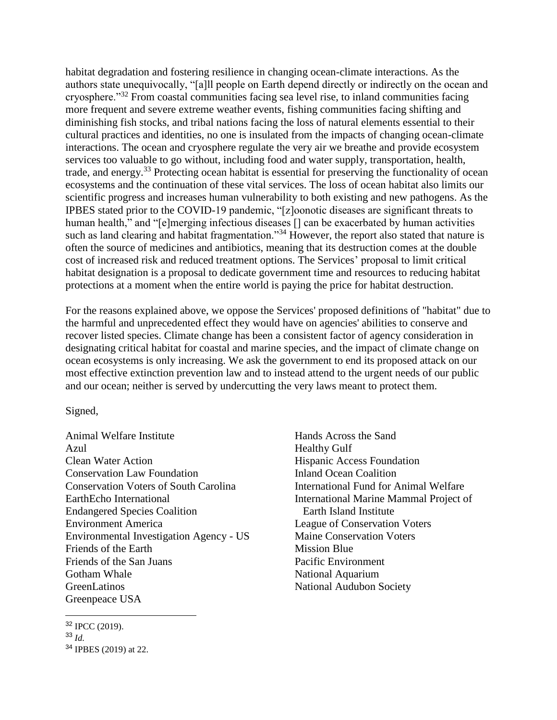habitat degradation and fostering resilience in changing ocean-climate interactions. As the authors state unequivocally, "[a]ll people on Earth depend directly or indirectly on the ocean and cryosphere."<sup>32</sup> From coastal communities facing sea level rise, to inland communities facing more frequent and severe extreme weather events, fishing communities facing shifting and diminishing fish stocks, and tribal nations facing the loss of natural elements essential to their cultural practices and identities, no one is insulated from the impacts of changing ocean-climate interactions. The ocean and cryosphere regulate the very air we breathe and provide ecosystem services too valuable to go without, including food and water supply, transportation, health, trade, and energy.<sup>33</sup> Protecting ocean habitat is essential for preserving the functionality of ocean ecosystems and the continuation of these vital services. The loss of ocean habitat also limits our scientific progress and increases human vulnerability to both existing and new pathogens. As the IPBES stated prior to the COVID-19 pandemic, "[z]oonotic diseases are significant threats to human health," and "[e]merging infectious diseases [] can be exacerbated by human activities such as land clearing and habitat fragmentation."<sup>34</sup> However, the report also stated that nature is often the source of medicines and antibiotics, meaning that its destruction comes at the double cost of increased risk and reduced treatment options. The Services' proposal to limit critical habitat designation is a proposal to dedicate government time and resources to reducing habitat protections at a moment when the entire world is paying the price for habitat destruction.

For the reasons explained above, we oppose the Services' proposed definitions of "habitat" due to the harmful and unprecedented effect they would have on agencies' abilities to conserve and recover listed species. Climate change has been a consistent factor of agency consideration in designating critical habitat for coastal and marine species, and the impact of climate change on ocean ecosystems is only increasing. We ask the government to end its proposed attack on our most effective extinction prevention law and to instead attend to the urgent needs of our public and our ocean; neither is served by undercutting the very laws meant to protect them.

#### Signed,

- Animal Welfare Institute Azul Clean Water Action Conservation Law Foundation Conservation Voters of South Carolina EarthEcho International Endangered Species Coalition Environment America Environmental Investigation Agency - US Friends of the Earth Friends of the San Juans Gotham Whale **GreenLatinos** Greenpeace USA
- Hands Across the Sand Healthy Gulf Hispanic Access Foundation Inland Ocean Coalition International Fund for Animal Welfare International Marine Mammal Project of Earth Island Institute League of Conservation Voters Maine Conservation Voters Mission Blue Pacific Environment National Aquarium National Audubon Society

 $\overline{a}$ <sup>32</sup> IPCC (2019).

<sup>33</sup> *Id.*

<sup>34</sup> IPBES (2019) at 22.